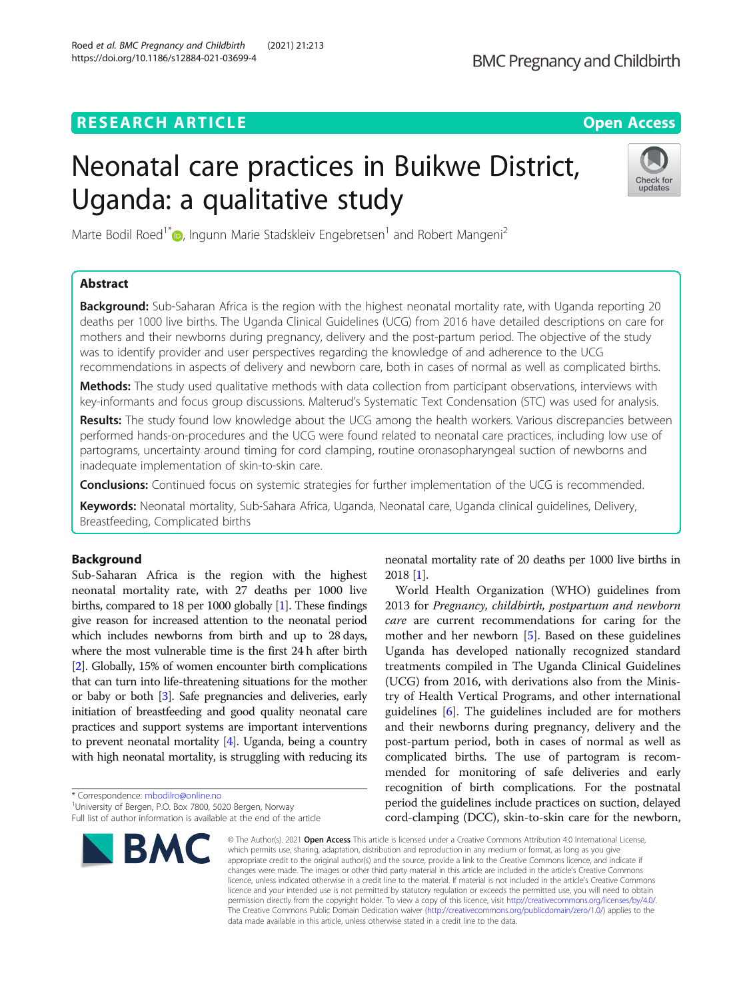# **RESEARCH ARTICLE Example 2014 CONSIDERING A RESEARCH ARTICLE**

# Neonatal care practices in Buikwe District, Uganda: a qualitative study

Check for updates

Marte Bodil Roed<sup>1\*</sup> <sub>(b)</sub> Ingunn Marie Stadskleiv Engebretsen<sup>1</sup> and Robert Mangeni<sup>2</sup>

## Abstract

**Background:** Sub-Saharan Africa is the region with the highest neonatal mortality rate, with Uganda reporting 20 deaths per 1000 live births. The Uganda Clinical Guidelines (UCG) from 2016 have detailed descriptions on care for mothers and their newborns during pregnancy, delivery and the post-partum period. The objective of the study was to identify provider and user perspectives regarding the knowledge of and adherence to the UCG recommendations in aspects of delivery and newborn care, both in cases of normal as well as complicated births.

Methods: The study used qualitative methods with data collection from participant observations, interviews with key-informants and focus group discussions. Malterud's Systematic Text Condensation (STC) was used for analysis.

Results: The study found low knowledge about the UCG among the health workers. Various discrepancies between performed hands-on-procedures and the UCG were found related to neonatal care practices, including low use of partograms, uncertainty around timing for cord clamping, routine oronasopharyngeal suction of newborns and inadequate implementation of skin-to-skin care.

**Conclusions:** Continued focus on systemic strategies for further implementation of the UCG is recommended.

Keywords: Neonatal mortality, Sub-Sahara Africa, Uganda, Neonatal care, Uganda clinical guidelines, Delivery, Breastfeeding, Complicated births

## Background

Sub-Saharan Africa is the region with the highest neonatal mortality rate, with 27 deaths per 1000 live births, compared to 18 per 1000 globally [\[1\]](#page-8-0). These findings give reason for increased attention to the neonatal period which includes newborns from birth and up to 28 days, where the most vulnerable time is the first 24 h after birth [[2](#page-8-0)]. Globally, 15% of women encounter birth complications that can turn into life-threatening situations for the mother or baby or both [\[3\]](#page-8-0). Safe pregnancies and deliveries, early initiation of breastfeeding and good quality neonatal care practices and support systems are important interventions to prevent neonatal mortality [\[4](#page-8-0)]. Uganda, being a country with high neonatal mortality, is struggling with reducing its

\* Correspondence: [mbodilro@online.no](mailto:mbodilro@online.no) <sup>1</sup>



neonatal mortality rate of 20 deaths per 1000 live births in 2018 [\[1\]](#page-8-0).

World Health Organization (WHO) guidelines from 2013 for Pregnancy, childbirth, postpartum and newborn care are current recommendations for caring for the mother and her newborn [\[5](#page-8-0)]. Based on these guidelines Uganda has developed nationally recognized standard treatments compiled in The Uganda Clinical Guidelines (UCG) from 2016, with derivations also from the Ministry of Health Vertical Programs, and other international guidelines [\[6\]](#page-8-0). The guidelines included are for mothers and their newborns during pregnancy, delivery and the post-partum period, both in cases of normal as well as complicated births. The use of partogram is recommended for monitoring of safe deliveries and early recognition of birth complications. For the postnatal period the guidelines include practices on suction, delayed cord-clamping (DCC), skin-to-skin care for the newborn,

© The Author(s), 2021 **Open Access** This article is licensed under a Creative Commons Attribution 4.0 International License, which permits use, sharing, adaptation, distribution and reproduction in any medium or format, as long as you give appropriate credit to the original author(s) and the source, provide a link to the Creative Commons licence, and indicate if changes were made. The images or other third party material in this article are included in the article's Creative Commons licence, unless indicated otherwise in a credit line to the material. If material is not included in the article's Creative Commons licence and your intended use is not permitted by statutory regulation or exceeds the permitted use, you will need to obtain permission directly from the copyright holder. To view a copy of this licence, visit [http://creativecommons.org/licenses/by/4.0/.](http://creativecommons.org/licenses/by/4.0/) The Creative Commons Public Domain Dedication waiver [\(http://creativecommons.org/publicdomain/zero/1.0/](http://creativecommons.org/publicdomain/zero/1.0/)) applies to the data made available in this article, unless otherwise stated in a credit line to the data.

<sup>&</sup>lt;sup>1</sup>University of Bergen, P.O. Box 7800, 5020 Bergen, Norway Full list of author information is available at the end of the article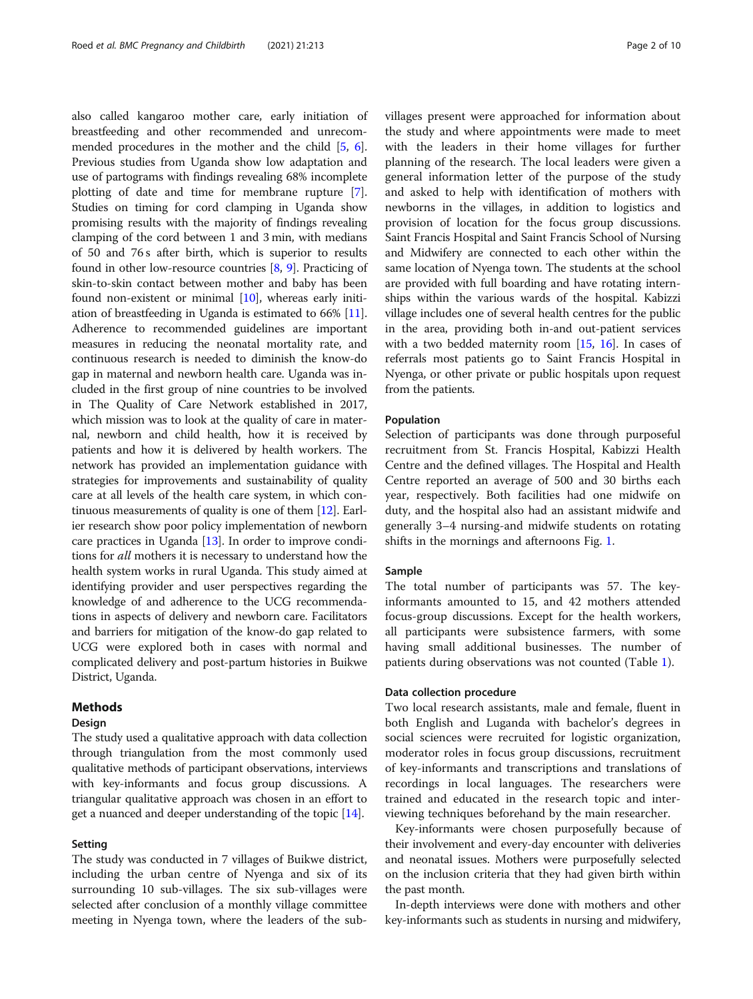also called kangaroo mother care, early initiation of breastfeeding and other recommended and unrecommended procedures in the mother and the child [\[5,](#page-8-0) [6](#page-8-0)]. Previous studies from Uganda show low adaptation and use of partograms with findings revealing 68% incomplete plotting of date and time for membrane rupture [[7](#page-8-0)]. Studies on timing for cord clamping in Uganda show promising results with the majority of findings revealing clamping of the cord between 1 and 3 min, with medians of 50 and 76 s after birth, which is superior to results found in other low-resource countries [[8](#page-9-0), [9](#page-9-0)]. Practicing of skin-to-skin contact between mother and baby has been found non-existent or minimal [\[10\]](#page-9-0), whereas early initiation of breastfeeding in Uganda is estimated to 66% [[11](#page-9-0)]. Adherence to recommended guidelines are important measures in reducing the neonatal mortality rate, and continuous research is needed to diminish the know-do gap in maternal and newborn health care. Uganda was included in the first group of nine countries to be involved in The Quality of Care Network established in 2017, which mission was to look at the quality of care in maternal, newborn and child health, how it is received by patients and how it is delivered by health workers. The network has provided an implementation guidance with strategies for improvements and sustainability of quality care at all levels of the health care system, in which continuous measurements of quality is one of them [[12](#page-9-0)]. Earlier research show poor policy implementation of newborn care practices in Uganda [[13](#page-9-0)]. In order to improve conditions for all mothers it is necessary to understand how the health system works in rural Uganda. This study aimed at identifying provider and user perspectives regarding the knowledge of and adherence to the UCG recommendations in aspects of delivery and newborn care. Facilitators and barriers for mitigation of the know-do gap related to UCG were explored both in cases with normal and complicated delivery and post-partum histories in Buikwe District, Uganda.

## Methods

## Design

The study used a qualitative approach with data collection through triangulation from the most commonly used qualitative methods of participant observations, interviews with key-informants and focus group discussions. A triangular qualitative approach was chosen in an effort to get a nuanced and deeper understanding of the topic [\[14\]](#page-9-0).

#### Setting

The study was conducted in 7 villages of Buikwe district, including the urban centre of Nyenga and six of its surrounding 10 sub-villages. The six sub-villages were selected after conclusion of a monthly village committee meeting in Nyenga town, where the leaders of the subvillages present were approached for information about the study and where appointments were made to meet with the leaders in their home villages for further planning of the research. The local leaders were given a general information letter of the purpose of the study and asked to help with identification of mothers with newborns in the villages, in addition to logistics and provision of location for the focus group discussions. Saint Francis Hospital and Saint Francis School of Nursing and Midwifery are connected to each other within the same location of Nyenga town. The students at the school are provided with full boarding and have rotating internships within the various wards of the hospital. Kabizzi village includes one of several health centres for the public in the area, providing both in-and out-patient services with a two bedded maternity room [[15](#page-9-0), [16](#page-9-0)]. In cases of referrals most patients go to Saint Francis Hospital in Nyenga, or other private or public hospitals upon request from the patients.

#### Population

Selection of participants was done through purposeful recruitment from St. Francis Hospital, Kabizzi Health Centre and the defined villages. The Hospital and Health Centre reported an average of 500 and 30 births each year, respectively. Both facilities had one midwife on duty, and the hospital also had an assistant midwife and generally 3–4 nursing-and midwife students on rotating shifts in the mornings and afternoons Fig. [1](#page-2-0).

#### Sample

The total number of participants was 57. The keyinformants amounted to 15, and 42 mothers attended focus-group discussions. Except for the health workers, all participants were subsistence farmers, with some having small additional businesses. The number of patients during observations was not counted (Table [1](#page-2-0)).

#### Data collection procedure

Two local research assistants, male and female, fluent in both English and Luganda with bachelor's degrees in social sciences were recruited for logistic organization, moderator roles in focus group discussions, recruitment of key-informants and transcriptions and translations of recordings in local languages. The researchers were trained and educated in the research topic and interviewing techniques beforehand by the main researcher.

Key-informants were chosen purposefully because of their involvement and every-day encounter with deliveries and neonatal issues. Mothers were purposefully selected on the inclusion criteria that they had given birth within the past month.

In-depth interviews were done with mothers and other key-informants such as students in nursing and midwifery,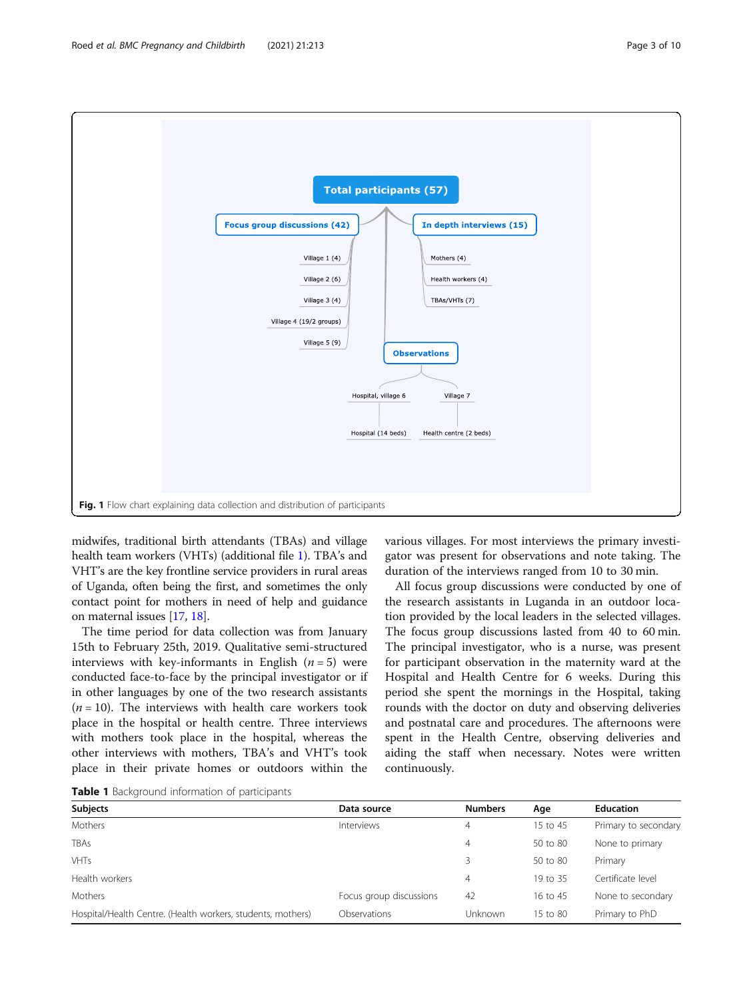<span id="page-2-0"></span>

midwifes, traditional birth attendants (TBAs) and village health team workers (VHTs) (additional file [1](#page-8-0)). TBA's and VHT's are the key frontline service providers in rural areas of Uganda, often being the first, and sometimes the only contact point for mothers in need of help and guidance on maternal issues [[17](#page-9-0), [18\]](#page-9-0).

The time period for data collection was from January 15th to February 25th, 2019. Qualitative semi-structured interviews with key-informants in English  $(n = 5)$  were conducted face-to-face by the principal investigator or if in other languages by one of the two research assistants  $(n = 10)$ . The interviews with health care workers took place in the hospital or health centre. Three interviews with mothers took place in the hospital, whereas the other interviews with mothers, TBA's and VHT's took place in their private homes or outdoors within the

various villages. For most interviews the primary investigator was present for observations and note taking. The duration of the interviews ranged from 10 to 30 min.

All focus group discussions were conducted by one of the research assistants in Luganda in an outdoor location provided by the local leaders in the selected villages. The focus group discussions lasted from 40 to 60 min. The principal investigator, who is a nurse, was present for participant observation in the maternity ward at the Hospital and Health Centre for 6 weeks. During this period she spent the mornings in the Hospital, taking rounds with the doctor on duty and observing deliveries and postnatal care and procedures. The afternoons were spent in the Health Centre, observing deliveries and aiding the staff when necessary. Notes were written continuously.

Table 1 Background information of participants

| <b>Numbers</b>                | Age      | <b>Education</b>     |
|-------------------------------|----------|----------------------|
| 4                             | 15 to 45 | Primary to secondary |
| 4                             | 50 to 80 | None to primary      |
| 3                             | 50 to 80 | Primary              |
| 4                             | 19 to 35 | Certificate level    |
| Focus group discussions<br>42 | 16 to 45 | None to secondary    |
| Unknown                       | 15 to 80 | Primary to PhD       |
|                               |          |                      |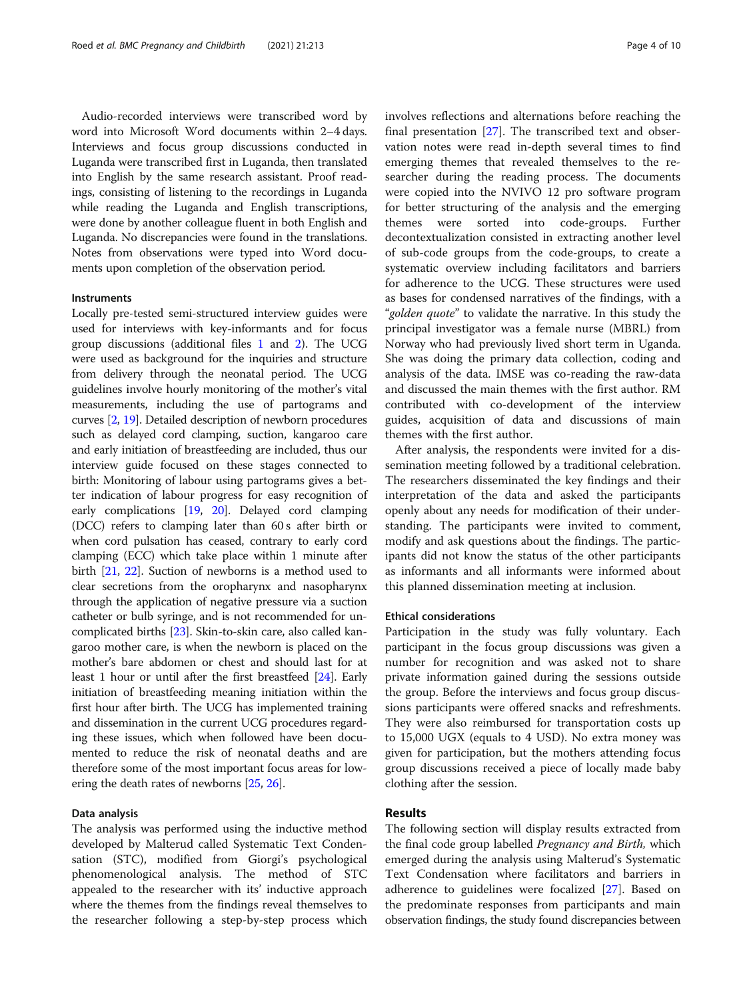Audio-recorded interviews were transcribed word by word into Microsoft Word documents within 2–4 days. Interviews and focus group discussions conducted in Luganda were transcribed first in Luganda, then translated into English by the same research assistant. Proof readings, consisting of listening to the recordings in Luganda while reading the Luganda and English transcriptions, were done by another colleague fluent in both English and Luganda. No discrepancies were found in the translations. Notes from observations were typed into Word documents upon completion of the observation period.

#### **Instruments**

Locally pre-tested semi-structured interview guides were used for interviews with key-informants and for focus group discussions (additional files [1](#page-8-0) and [2](#page-8-0)). The UCG were used as background for the inquiries and structure from delivery through the neonatal period. The UCG guidelines involve hourly monitoring of the mother's vital measurements, including the use of partograms and curves [\[2,](#page-8-0) [19](#page-9-0)]. Detailed description of newborn procedures such as delayed cord clamping, suction, kangaroo care and early initiation of breastfeeding are included, thus our interview guide focused on these stages connected to birth: Monitoring of labour using partograms gives a better indication of labour progress for easy recognition of early complications [[19](#page-9-0), [20](#page-9-0)]. Delayed cord clamping (DCC) refers to clamping later than 60 s after birth or when cord pulsation has ceased, contrary to early cord clamping (ECC) which take place within 1 minute after birth [\[21,](#page-9-0) [22](#page-9-0)]. Suction of newborns is a method used to clear secretions from the oropharynx and nasopharynx through the application of negative pressure via a suction catheter or bulb syringe, and is not recommended for uncomplicated births [\[23\]](#page-9-0). Skin-to-skin care, also called kangaroo mother care, is when the newborn is placed on the mother's bare abdomen or chest and should last for at least 1 hour or until after the first breastfeed [[24](#page-9-0)]. Early initiation of breastfeeding meaning initiation within the first hour after birth. The UCG has implemented training and dissemination in the current UCG procedures regarding these issues, which when followed have been documented to reduce the risk of neonatal deaths and are therefore some of the most important focus areas for lowering the death rates of newborns [\[25](#page-9-0), [26](#page-9-0)].

#### Data analysis

The analysis was performed using the inductive method developed by Malterud called Systematic Text Condensation (STC), modified from Giorgi's psychological phenomenological analysis. The method of STC appealed to the researcher with its' inductive approach where the themes from the findings reveal themselves to the researcher following a step-by-step process which involves reflections and alternations before reaching the final presentation [[27](#page-9-0)]. The transcribed text and observation notes were read in-depth several times to find emerging themes that revealed themselves to the researcher during the reading process. The documents were copied into the NVIVO 12 pro software program for better structuring of the analysis and the emerging themes were sorted into code-groups. Further decontextualization consisted in extracting another level of sub-code groups from the code-groups, to create a systematic overview including facilitators and barriers for adherence to the UCG. These structures were used as bases for condensed narratives of the findings, with a "golden quote" to validate the narrative. In this study the principal investigator was a female nurse (MBRL) from Norway who had previously lived short term in Uganda. She was doing the primary data collection, coding and analysis of the data. IMSE was co-reading the raw-data and discussed the main themes with the first author. RM contributed with co-development of the interview guides, acquisition of data and discussions of main themes with the first author.

After analysis, the respondents were invited for a dissemination meeting followed by a traditional celebration. The researchers disseminated the key findings and their interpretation of the data and asked the participants openly about any needs for modification of their understanding. The participants were invited to comment, modify and ask questions about the findings. The participants did not know the status of the other participants as informants and all informants were informed about this planned dissemination meeting at inclusion.

#### Ethical considerations

Participation in the study was fully voluntary. Each participant in the focus group discussions was given a number for recognition and was asked not to share private information gained during the sessions outside the group. Before the interviews and focus group discussions participants were offered snacks and refreshments. They were also reimbursed for transportation costs up to 15,000 UGX (equals to 4 USD). No extra money was given for participation, but the mothers attending focus group discussions received a piece of locally made baby clothing after the session.

## Results

The following section will display results extracted from the final code group labelled *Pregnancy and Birth*, which emerged during the analysis using Malterud's Systematic Text Condensation where facilitators and barriers in adherence to guidelines were focalized [\[27\]](#page-9-0). Based on the predominate responses from participants and main observation findings, the study found discrepancies between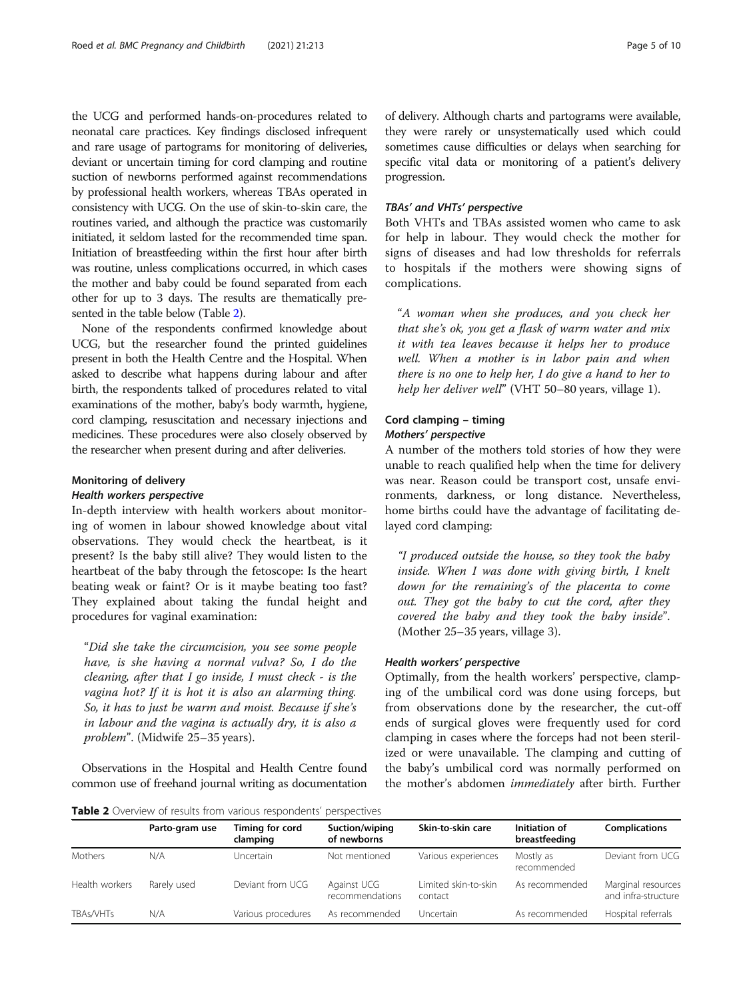the UCG and performed hands-on-procedures related to neonatal care practices. Key findings disclosed infrequent and rare usage of partograms for monitoring of deliveries, deviant or uncertain timing for cord clamping and routine suction of newborns performed against recommendations by professional health workers, whereas TBAs operated in consistency with UCG. On the use of skin-to-skin care, the routines varied, and although the practice was customarily initiated, it seldom lasted for the recommended time span. Initiation of breastfeeding within the first hour after birth was routine, unless complications occurred, in which cases the mother and baby could be found separated from each other for up to 3 days. The results are thematically presented in the table below (Table 2).

None of the respondents confirmed knowledge about UCG, but the researcher found the printed guidelines present in both the Health Centre and the Hospital. When asked to describe what happens during labour and after birth, the respondents talked of procedures related to vital examinations of the mother, baby's body warmth, hygiene, cord clamping, resuscitation and necessary injections and medicines. These procedures were also closely observed by the researcher when present during and after deliveries.

## Monitoring of delivery

#### Health workers perspective

In-depth interview with health workers about monitoring of women in labour showed knowledge about vital observations. They would check the heartbeat, is it present? Is the baby still alive? They would listen to the heartbeat of the baby through the fetoscope: Is the heart beating weak or faint? Or is it maybe beating too fast? They explained about taking the fundal height and procedures for vaginal examination:

"Did she take the circumcision, you see some people have, is she having a normal vulva? So, I do the cleaning, after that I go inside, I must check - is the vagina hot? If it is hot it is also an alarming thing. So, it has to just be warm and moist. Because if she's in labour and the vagina is actually dry, it is also a problem". (Midwife 25–35 years).

Observations in the Hospital and Health Centre found common use of freehand journal writing as documentation of delivery. Although charts and partograms were available, they were rarely or unsystematically used which could sometimes cause difficulties or delays when searching for specific vital data or monitoring of a patient's delivery progression.

## TBAs' and VHTs' perspective

Both VHTs and TBAs assisted women who came to ask for help in labour. They would check the mother for signs of diseases and had low thresholds for referrals to hospitals if the mothers were showing signs of complications.

"A woman when she produces, and you check her that she's ok, you get a flask of warm water and mix it with tea leaves because it helps her to produce well. When a mother is in labor pain and when there is no one to help her, I do give a hand to her to help her deliver well" (VHT 50–80 years, village 1).

## Cord clamping – timing Mothers' perspective

A number of the mothers told stories of how they were unable to reach qualified help when the time for delivery was near. Reason could be transport cost, unsafe environments, darkness, or long distance. Nevertheless, home births could have the advantage of facilitating delayed cord clamping:

"I produced outside the house, so they took the baby inside. When I was done with giving birth, I knelt down for the remaining's of the placenta to come out. They got the baby to cut the cord, after they covered the baby and they took the baby inside". (Mother 25–35 years, village 3).

#### Health workers' perspective

Optimally, from the health workers' perspective, clamping of the umbilical cord was done using forceps, but from observations done by the researcher, the cut-off ends of surgical gloves were frequently used for cord clamping in cases where the forceps had not been sterilized or were unavailable. The clamping and cutting of the baby's umbilical cord was normally performed on the mother's abdomen immediately after birth. Further

Table 2 Overview of results from various respondents' perspectives

|                | Parto-gram use | Timing for cord<br>clamping | Suction/wiping<br>of newborns  | Skin-to-skin care               | Initiation of<br>breastfeeding | <b>Complications</b>                      |
|----------------|----------------|-----------------------------|--------------------------------|---------------------------------|--------------------------------|-------------------------------------------|
| Mothers        | N/A            | Uncertain                   | Not mentioned                  | Various experiences             | Mostly as<br>recommended       | Deviant from UCG                          |
| Health workers | Rarely used    | Deviant from UCG            | Against UCG<br>recommendations | Limited skin-to-skin<br>contact | As recommended                 | Marginal resources<br>and infra-structure |
| TBAs/VHTs      | N/A            | Various procedures          | As recommended                 | <b>Uncertain</b>                | As recommended                 | Hospital referrals                        |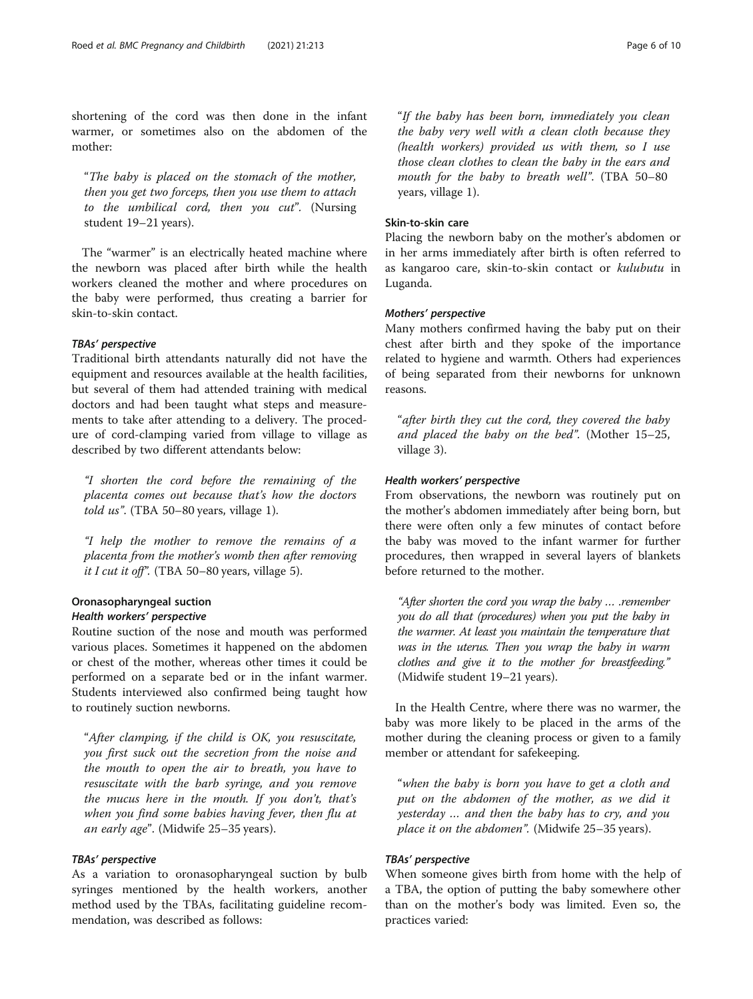shortening of the cord was then done in the infant warmer, or sometimes also on the abdomen of the mother:

"The baby is placed on the stomach of the mother, then you get two forceps, then you use them to attach to the umbilical cord, then you cut". (Nursing student 19–21 years).

The "warmer" is an electrically heated machine where the newborn was placed after birth while the health workers cleaned the mother and where procedures on the baby were performed, thus creating a barrier for skin-to-skin contact.

## TBAs' perspective

Traditional birth attendants naturally did not have the equipment and resources available at the health facilities, but several of them had attended training with medical doctors and had been taught what steps and measurements to take after attending to a delivery. The procedure of cord-clamping varied from village to village as described by two different attendants below:

"I shorten the cord before the remaining of the placenta comes out because that's how the doctors told  $\mu$ s". (TBA 50–80 years, village 1).

"I help the mother to remove the remains of a placenta from the mother's womb then after removing it I cut it off". (TBA 50-80 years, village 5).

## Oronasopharyngeal suction Health workers' perspective

to routinely suction newborns.

Routine suction of the nose and mouth was performed various places. Sometimes it happened on the abdomen or chest of the mother, whereas other times it could be performed on a separate bed or in the infant warmer. Students interviewed also confirmed being taught how

"After clamping, if the child is OK, you resuscitate, you first suck out the secretion from the noise and the mouth to open the air to breath, you have to resuscitate with the barb syringe, and you remove the mucus here in the mouth. If you don't, that's when you find some babies having fever, then flu at an early age". (Midwife 25–35 years).

## TBAs' perspective

As a variation to oronasopharyngeal suction by bulb syringes mentioned by the health workers, another method used by the TBAs, facilitating guideline recommendation, was described as follows:

"If the baby has been born, immediately you clean the baby very well with a clean cloth because they (health workers) provided us with them, so I use those clean clothes to clean the baby in the ears and mouth for the baby to breath well". (TBA 50–80 years, village 1).

#### Skin-to-skin care

Placing the newborn baby on the mother's abdomen or in her arms immediately after birth is often referred to as kangaroo care, skin-to-skin contact or kulubutu in Luganda.

#### Mothers' perspective

Many mothers confirmed having the baby put on their chest after birth and they spoke of the importance related to hygiene and warmth. Others had experiences of being separated from their newborns for unknown reasons.

"after birth they cut the cord, they covered the baby and placed the baby on the bed". (Mother 15–25, village 3).

#### Health workers' perspective

From observations, the newborn was routinely put on the mother's abdomen immediately after being born, but there were often only a few minutes of contact before the baby was moved to the infant warmer for further procedures, then wrapped in several layers of blankets before returned to the mother.

"After shorten the cord you wrap the baby … .remember you do all that (procedures) when you put the baby in the warmer. At least you maintain the temperature that was in the uterus. Then you wrap the baby in warm clothes and give it to the mother for breastfeeding." (Midwife student 19–21 years).

In the Health Centre, where there was no warmer, the baby was more likely to be placed in the arms of the mother during the cleaning process or given to a family member or attendant for safekeeping.

"when the baby is born you have to get a cloth and put on the abdomen of the mother, as we did it yesterday … and then the baby has to cry, and you place it on the abdomen". (Midwife 25–35 years).

## TBAs' perspective

When someone gives birth from home with the help of a TBA, the option of putting the baby somewhere other than on the mother's body was limited. Even so, the practices varied: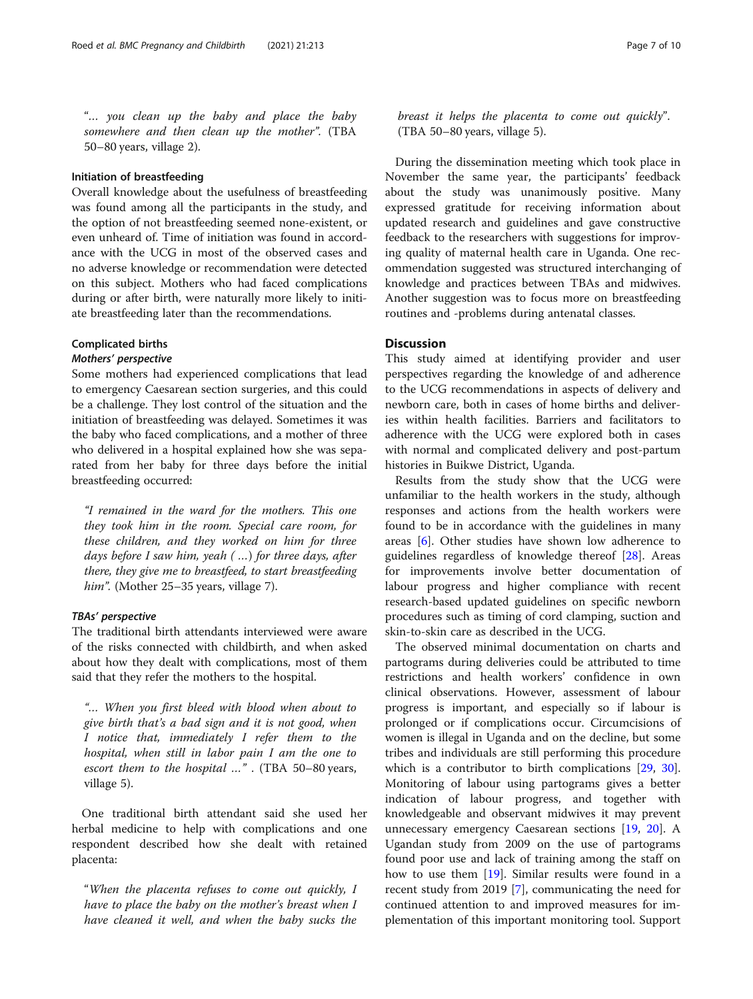"… you clean up the baby and place the baby somewhere and then clean up the mother". (TBA 50–80 years, village 2).

## Initiation of breastfeeding

Overall knowledge about the usefulness of breastfeeding was found among all the participants in the study, and the option of not breastfeeding seemed none-existent, or even unheard of. Time of initiation was found in accordance with the UCG in most of the observed cases and no adverse knowledge or recommendation were detected on this subject. Mothers who had faced complications during or after birth, were naturally more likely to initiate breastfeeding later than the recommendations.

## Complicated births

#### Mothers' perspective

Some mothers had experienced complications that lead to emergency Caesarean section surgeries, and this could be a challenge. They lost control of the situation and the initiation of breastfeeding was delayed. Sometimes it was the baby who faced complications, and a mother of three who delivered in a hospital explained how she was separated from her baby for three days before the initial breastfeeding occurred:

"I remained in the ward for the mothers. This one they took him in the room. Special care room, for these children, and they worked on him for three days before I saw him, yeah ( …) for three days, after there, they give me to breastfeed, to start breastfeeding him". (Mother 25-35 years, village 7).

## TBAs' perspective

The traditional birth attendants interviewed were aware of the risks connected with childbirth, and when asked about how they dealt with complications, most of them said that they refer the mothers to the hospital.

"… When you first bleed with blood when about to give birth that's a bad sign and it is not good, when I notice that, immediately I refer them to the hospital, when still in labor pain I am the one to escort them to the hospital …" . (TBA 50–80 years, village 5).

One traditional birth attendant said she used her herbal medicine to help with complications and one respondent described how she dealt with retained placenta:

"When the placenta refuses to come out quickly, I have to place the baby on the mother's breast when I have cleaned it well, and when the baby sucks the breast it helps the placenta to come out quickly". (TBA 50–80 years, village 5).

During the dissemination meeting which took place in November the same year, the participants' feedback about the study was unanimously positive. Many expressed gratitude for receiving information about updated research and guidelines and gave constructive feedback to the researchers with suggestions for improving quality of maternal health care in Uganda. One recommendation suggested was structured interchanging of knowledge and practices between TBAs and midwives. Another suggestion was to focus more on breastfeeding routines and -problems during antenatal classes.

## **Discussion**

This study aimed at identifying provider and user perspectives regarding the knowledge of and adherence to the UCG recommendations in aspects of delivery and newborn care, both in cases of home births and deliveries within health facilities. Barriers and facilitators to adherence with the UCG were explored both in cases with normal and complicated delivery and post-partum histories in Buikwe District, Uganda.

Results from the study show that the UCG were unfamiliar to the health workers in the study, although responses and actions from the health workers were found to be in accordance with the guidelines in many areas [\[6](#page-8-0)]. Other studies have shown low adherence to guidelines regardless of knowledge thereof [\[28\]](#page-9-0). Areas for improvements involve better documentation of labour progress and higher compliance with recent research-based updated guidelines on specific newborn procedures such as timing of cord clamping, suction and skin-to-skin care as described in the UCG.

The observed minimal documentation on charts and partograms during deliveries could be attributed to time restrictions and health workers' confidence in own clinical observations. However, assessment of labour progress is important, and especially so if labour is prolonged or if complications occur. Circumcisions of women is illegal in Uganda and on the decline, but some tribes and individuals are still performing this procedure which is a contributor to birth complications [[29,](#page-9-0) [30](#page-9-0)]. Monitoring of labour using partograms gives a better indication of labour progress, and together with knowledgeable and observant midwives it may prevent unnecessary emergency Caesarean sections [[19,](#page-9-0) [20](#page-9-0)]. A Ugandan study from 2009 on the use of partograms found poor use and lack of training among the staff on how to use them [[19](#page-9-0)]. Similar results were found in a recent study from 2019 [[7\]](#page-8-0), communicating the need for continued attention to and improved measures for implementation of this important monitoring tool. Support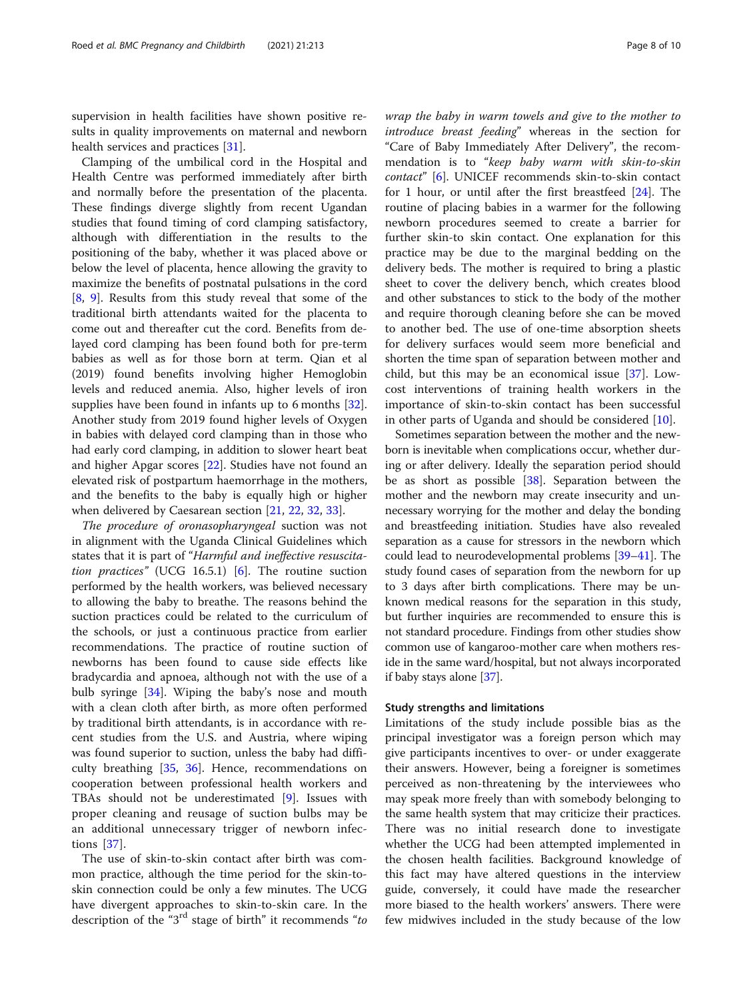supervision in health facilities have shown positive results in quality improvements on maternal and newborn health services and practices [\[31](#page-9-0)].

Clamping of the umbilical cord in the Hospital and Health Centre was performed immediately after birth and normally before the presentation of the placenta. These findings diverge slightly from recent Ugandan studies that found timing of cord clamping satisfactory, although with differentiation in the results to the positioning of the baby, whether it was placed above or below the level of placenta, hence allowing the gravity to maximize the benefits of postnatal pulsations in the cord [[8,](#page-9-0) [9](#page-9-0)]. Results from this study reveal that some of the traditional birth attendants waited for the placenta to come out and thereafter cut the cord. Benefits from delayed cord clamping has been found both for pre-term babies as well as for those born at term. Qian et al (2019) found benefits involving higher Hemoglobin levels and reduced anemia. Also, higher levels of iron supplies have been found in infants up to 6 months [\[32](#page-9-0)]. Another study from 2019 found higher levels of Oxygen in babies with delayed cord clamping than in those who had early cord clamping, in addition to slower heart beat and higher Apgar scores [[22\]](#page-9-0). Studies have not found an elevated risk of postpartum haemorrhage in the mothers, and the benefits to the baby is equally high or higher when delivered by Caesarean section [\[21](#page-9-0), [22](#page-9-0), [32,](#page-9-0) [33\]](#page-9-0).

The procedure of oronasopharyngeal suction was not in alignment with the Uganda Clinical Guidelines which states that it is part of "Harmful and ineffective resuscita-tion practices" (UCG 16.5.1) [\[6\]](#page-8-0). The routine suction performed by the health workers, was believed necessary to allowing the baby to breathe. The reasons behind the suction practices could be related to the curriculum of the schools, or just a continuous practice from earlier recommendations. The practice of routine suction of newborns has been found to cause side effects like bradycardia and apnoea, although not with the use of a bulb syringe [[34\]](#page-9-0). Wiping the baby's nose and mouth with a clean cloth after birth, as more often performed by traditional birth attendants, is in accordance with recent studies from the U.S. and Austria, where wiping was found superior to suction, unless the baby had difficulty breathing  $[35, 36]$  $[35, 36]$  $[35, 36]$ . Hence, recommendations on cooperation between professional health workers and TBAs should not be underestimated [\[9](#page-9-0)]. Issues with proper cleaning and reusage of suction bulbs may be an additional unnecessary trigger of newborn infections [\[37](#page-9-0)].

The use of skin-to-skin contact after birth was common practice, although the time period for the skin-toskin connection could be only a few minutes. The UCG have divergent approaches to skin-to-skin care. In the description of the "3<sup>rd</sup> stage of birth" it recommends "to

wrap the baby in warm towels and give to the mother to introduce breast feeding" whereas in the section for "Care of Baby Immediately After Delivery", the recommendation is to "keep baby warm with skin-to-skin contact" [\[6\]](#page-8-0). UNICEF recommends skin-to-skin contact for 1 hour, or until after the first breastfeed [[24\]](#page-9-0). The routine of placing babies in a warmer for the following newborn procedures seemed to create a barrier for further skin-to skin contact. One explanation for this practice may be due to the marginal bedding on the delivery beds. The mother is required to bring a plastic sheet to cover the delivery bench, which creates blood and other substances to stick to the body of the mother and require thorough cleaning before she can be moved to another bed. The use of one-time absorption sheets for delivery surfaces would seem more beneficial and shorten the time span of separation between mother and child, but this may be an economical issue [[37\]](#page-9-0). Lowcost interventions of training health workers in the importance of skin-to-skin contact has been successful in other parts of Uganda and should be considered [[10](#page-9-0)].

Sometimes separation between the mother and the newborn is inevitable when complications occur, whether during or after delivery. Ideally the separation period should be as short as possible [[38](#page-9-0)]. Separation between the mother and the newborn may create insecurity and unnecessary worrying for the mother and delay the bonding and breastfeeding initiation. Studies have also revealed separation as a cause for stressors in the newborn which could lead to neurodevelopmental problems [\[39](#page-9-0)–[41](#page-9-0)]. The study found cases of separation from the newborn for up to 3 days after birth complications. There may be unknown medical reasons for the separation in this study, but further inquiries are recommended to ensure this is not standard procedure. Findings from other studies show common use of kangaroo-mother care when mothers reside in the same ward/hospital, but not always incorporated if baby stays alone [[37](#page-9-0)].

#### Study strengths and limitations

Limitations of the study include possible bias as the principal investigator was a foreign person which may give participants incentives to over- or under exaggerate their answers. However, being a foreigner is sometimes perceived as non-threatening by the interviewees who may speak more freely than with somebody belonging to the same health system that may criticize their practices. There was no initial research done to investigate whether the UCG had been attempted implemented in the chosen health facilities. Background knowledge of this fact may have altered questions in the interview guide, conversely, it could have made the researcher more biased to the health workers' answers. There were few midwives included in the study because of the low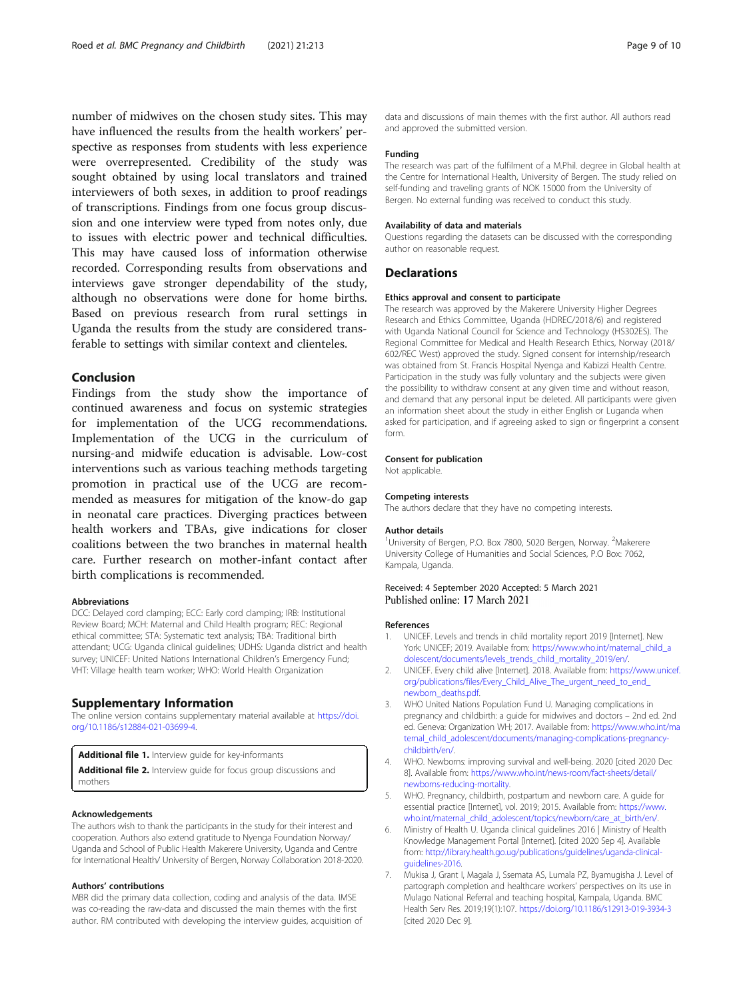<span id="page-8-0"></span>number of midwives on the chosen study sites. This may have influenced the results from the health workers' perspective as responses from students with less experience were overrepresented. Credibility of the study was sought obtained by using local translators and trained interviewers of both sexes, in addition to proof readings of transcriptions. Findings from one focus group discussion and one interview were typed from notes only, due to issues with electric power and technical difficulties. This may have caused loss of information otherwise recorded. Corresponding results from observations and interviews gave stronger dependability of the study, although no observations were done for home births. Based on previous research from rural settings in Uganda the results from the study are considered transferable to settings with similar context and clienteles.

## Conclusion

Findings from the study show the importance of continued awareness and focus on systemic strategies for implementation of the UCG recommendations. Implementation of the UCG in the curriculum of nursing-and midwife education is advisable. Low-cost interventions such as various teaching methods targeting promotion in practical use of the UCG are recommended as measures for mitigation of the know-do gap in neonatal care practices. Diverging practices between health workers and TBAs, give indications for closer coalitions between the two branches in maternal health care. Further research on mother-infant contact after birth complications is recommended.

#### Abbreviations

DCC: Delayed cord clamping; ECC: Early cord clamping; IRB: Institutional Review Board; MCH: Maternal and Child Health program; REC: Regional ethical committee; STA: Systematic text analysis; TBA: Traditional birth attendant; UCG: Uganda clinical guidelines; UDHS: Uganda district and health survey; UNICEF: United Nations International Children's Emergency Fund; VHT: Village health team worker; WHO: World Health Organization

#### Supplementary Information

The online version contains supplementary material available at [https://doi.](https://doi.org/10.1186/s12884-021-03699-4) [org/10.1186/s12884-021-03699-4.](https://doi.org/10.1186/s12884-021-03699-4)

Additional file 1. Interview guide for key-informants

Additional file 2. Interview guide for focus group discussions and mothers

#### Acknowledgements

The authors wish to thank the participants in the study for their interest and cooperation. Authors also extend gratitude to Nyenga Foundation Norway/ Uganda and School of Public Health Makerere University, Uganda and Centre for International Health/ University of Bergen, Norway Collaboration 2018-2020.

#### Authors' contributions

MBR did the primary data collection, coding and analysis of the data. IMSE was co-reading the raw-data and discussed the main themes with the first author. RM contributed with developing the interview guides, acquisition of data and discussions of main themes with the first author. All authors read and approved the submitted version.

#### Funding

The research was part of the fulfilment of a M.Phil. degree in Global health at the Centre for International Health, University of Bergen. The study relied on self-funding and traveling grants of NOK 15000 from the University of Bergen. No external funding was received to conduct this study.

#### Availability of data and materials

Questions regarding the datasets can be discussed with the corresponding author on reasonable request.

#### **Declarations**

#### Ethics approval and consent to participate

The research was approved by the Makerere University Higher Degrees Research and Ethics Committee, Uganda (HDREC/2018/6) and registered with Uganda National Council for Science and Technology (HS302ES). The Regional Committee for Medical and Health Research Ethics, Norway (2018/ 602/REC West) approved the study. Signed consent for internship/research was obtained from St. Francis Hospital Nyenga and Kabizzi Health Centre. Participation in the study was fully voluntary and the subjects were given the possibility to withdraw consent at any given time and without reason, and demand that any personal input be deleted. All participants were given an information sheet about the study in either English or Luganda when asked for participation, and if agreeing asked to sign or fingerprint a consent form.

## Consent for publication

Not applicable.

#### Competing interests

The authors declare that they have no competing interests.

#### Author details

<sup>1</sup>University of Bergen, P.O. Box 7800, 5020 Bergen, Norway. <sup>2</sup>Makerere University College of Humanities and Social Sciences, P.O Box: 7062, Kampala, Uganda.

#### Received: 4 September 2020 Accepted: 5 March 2021 Published online: 17 March 2021

#### References

- 1. UNICEF. Levels and trends in child mortality report 2019 [Internet]. New York: UNICEF; 2019. Available from: [https://www.who.int/maternal\\_child\\_a](https://www.who.int/maternal_child_adolescent/documents/levels_trends_child_mortality_2019/en/) [dolescent/documents/levels\\_trends\\_child\\_mortality\\_2019/en/.](https://www.who.int/maternal_child_adolescent/documents/levels_trends_child_mortality_2019/en/)
- 2. UNICEF. Every child alive [Internet]. 2018. Available from: [https://www.unicef.](https://www.unicef.org/publications/files/Every_Child_Alive_The_urgent_need_to_end_newborn_deaths.pdf) [org/publications/files/Every\\_Child\\_Alive\\_The\\_urgent\\_need\\_to\\_end\\_](https://www.unicef.org/publications/files/Every_Child_Alive_The_urgent_need_to_end_newborn_deaths.pdf) [newborn\\_deaths.pdf.](https://www.unicef.org/publications/files/Every_Child_Alive_The_urgent_need_to_end_newborn_deaths.pdf)
- 3. WHO United Nations Population Fund U. Managing complications in pregnancy and childbirth: a guide for midwives and doctors – 2nd ed. 2nd ed. Geneva: Organization WH; 2017. Available from: [https://www.who.int/ma](https://www.who.int/maternal_child_adolescent/documents/managing-complications-pregnancy-childbirth/en/) [ternal\\_child\\_adolescent/documents/managing-complications-pregnancy](https://www.who.int/maternal_child_adolescent/documents/managing-complications-pregnancy-childbirth/en/)[childbirth/en/.](https://www.who.int/maternal_child_adolescent/documents/managing-complications-pregnancy-childbirth/en/)
- 4. WHO. Newborns: improving survival and well-being. 2020 [cited 2020 Dec 8]. Available from: [https://www.who.int/news-room/fact-sheets/detail/](https://www.who.int/news-room/fact-sheets/detail/newborns-reducing-mortality) [newborns-reducing-mortality.](https://www.who.int/news-room/fact-sheets/detail/newborns-reducing-mortality)
- 5. WHO. Pregnancy, childbirth, postpartum and newborn care. A guide for essential practice [Internet], vol. 2019; 2015. Available from: [https://www.](https://www.who.int/maternal_child_adolescent/topics/newborn/care_at_birth/en/) [who.int/maternal\\_child\\_adolescent/topics/newborn/care\\_at\\_birth/en/](https://www.who.int/maternal_child_adolescent/topics/newborn/care_at_birth/en/).
- 6. Ministry of Health U. Uganda clinical guidelines 2016 | Ministry of Health Knowledge Management Portal [Internet]. [cited 2020 Sep 4]. Available from: [http://library.health.go.ug/publications/guidelines/uganda-clinical](http://library.health.go.ug/publications/guidelines/uganda-clinical-guidelines-2016)[guidelines-2016.](http://library.health.go.ug/publications/guidelines/uganda-clinical-guidelines-2016)
- 7. Mukisa J, Grant I, Magala J, Ssemata AS, Lumala PZ, Byamugisha J. Level of partograph completion and healthcare workers' perspectives on its use in Mulago National Referral and teaching hospital, Kampala, Uganda. BMC Health Serv Res. 2019;19(1):107. <https://doi.org/10.1186/s12913-019-3934-3> [cited 2020 Dec 9].